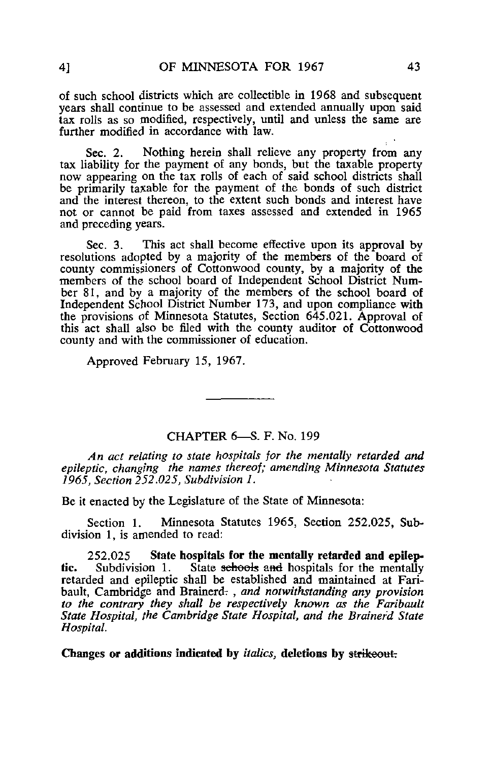of such school districts which are collectible in 1968 and subsequent years shall continue to be assessed and extended annually upon said tax rolls as so modified, respectively, until and unless the same are further modified in accordance with law.

Sec. 2. Nothing herein shall relieve any property from any tax liability for the payment of any bonds, but the taxable property now appearing on the tax rolls of each of said school districts shall be primarily taxable for the payment of the bonds of such district and the interest thereon, to the extent such bonds and interest have not or cannot be paid from taxes assessed and extended in 1965 and preceding years.

Sec. 3. This act shall become effective upon its approval by resolutions adopted by a majority of the members of the board of county commissioners of Cottonwood county, by a majority of the members of the school board of Independent School District Number 81, and by a majority of the members of the school board of Independent School District Number 173, and upon compliance with the provisions of Minnesota Statutes, Section 645.021. Approval of this act shall also be filed with the county auditor of Cottonwood county and with the commissioner of education.

Approved February 15, 1967.

## CHAPTER 6—S. F. No. 199

An act relating to state hospitals for the mentally retarded and epileptic, changing the names thereof; amending Minnesota Statutes 1965, Section 252.025, Subdivision 1.

Be it enacted by the Legislature of the State of Minnesota:

Section 1. Minnesota Statutes 1965, Section 252.025, Subdivision 1, is amended to read:

252.025 State hospitals for the mentally retarded and epilep-<br>Subdivision 1. State sehools and hospitals for the mentally tic. Subdivision 1. State schools and hospitals for the mentally retarded and epileptic shall be established and maintained at Faribault, Cambridge and Brainerd., and notwithstanding any provision to the contrary they shall be respectively known as the Faribault State Hospital, the Cambridge State Hospital, and the Brainerd State Hospital.

Changes or additions indicated by *italics*, deletions by strikeout.